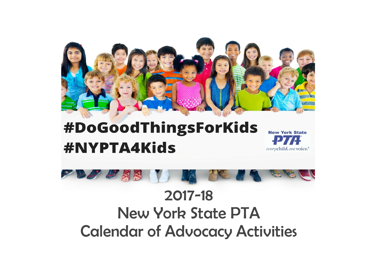

# **#NYPTA4Kids**





# 2017-18 New York State PTA Calendar of Advocacy Activities